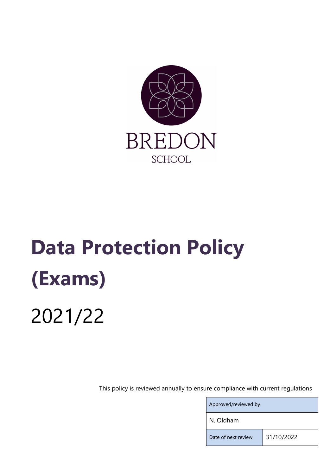

# Data Protection Policy (Exams) 2021/22

This policy is reviewed annually to ensure compliance with current regulations

| Approved/reviewed by |            |  |  |  |
|----------------------|------------|--|--|--|
| N. Oldham            |            |  |  |  |
| Date of next review  | 31/10/2022 |  |  |  |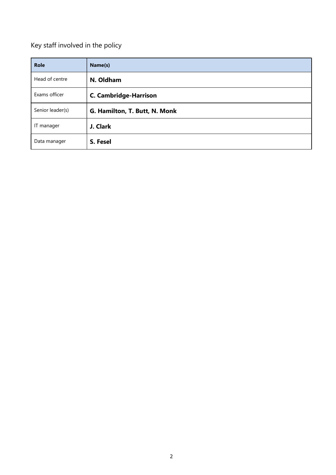# Key staff involved in the policy

| <b>Role</b>      | Name(s)                       |
|------------------|-------------------------------|
| Head of centre   | N. Oldham                     |
| Exams officer    | <b>C. Cambridge-Harrison</b>  |
| Senior leader(s) | G. Hamilton, T. Butt, N. Monk |
| IT manager       | J. Clark                      |
| Data manager     | S. Fesel                      |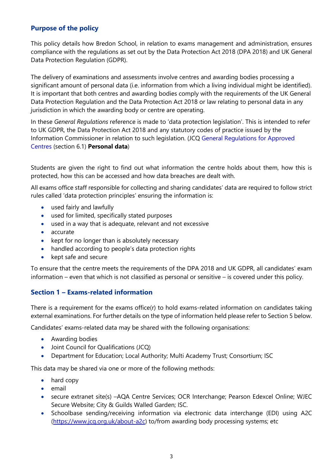# Purpose of the policy

This policy details how Bredon School, in relation to exams management and administration, ensures compliance with the regulations as set out by the Data Protection Act 2018 (DPA 2018) and UK General Data Protection Regulation (GDPR).

The delivery of examinations and assessments involve centres and awarding bodies processing a significant amount of personal data (i.e. information from which a living individual might be identified). It is important that both centres and awarding bodies comply with the requirements of the UK General Data Protection Regulation and the Data Protection Act 2018 or law relating to personal data in any jurisdiction in which the awarding body or centre are operating.

In these General Regulations reference is made to 'data protection legislation'. This is intended to refer to UK GDPR, the Data Protection Act 2018 and any statutory codes of practice issued by the Information Commissioner in relation to such legislation. (JCQ General Regulations for Approved Centres (section 6.1) Personal data)

Students are given the right to find out what information the centre holds about them, how this is protected, how this can be accessed and how data breaches are dealt with.

All exams office staff responsible for collecting and sharing candidates' data are required to follow strict rules called 'data protection principles' ensuring the information is:

- used fairly and lawfully
- used for limited, specifically stated purposes
- used in a way that is adequate, relevant and not excessive
- accurate
- $\bullet$  kept for no longer than is absolutely necessary
- handled according to people's data protection rights
- $\bullet$  kept safe and secure

To ensure that the centre meets the requirements of the DPA 2018 and UK GDPR, all candidates' exam information – even that which is not classified as personal or sensitive – is covered under this policy.

#### Section 1 – Exams-related information

There is a requirement for the exams office(r) to hold exams-related information on candidates taking external examinations. For further details on the type of information held please refer to Section 5 below.

Candidates' exams-related data may be shared with the following organisations:

- Awarding bodies
- Joint Council for Qualifications (JCQ)
- Department for Education; Local Authority; Multi Academy Trust; Consortium; ISC

This data may be shared via one or more of the following methods:

- hard copy
- email
- secure extranet site(s) -AQA Centre Services; OCR Interchange; Pearson Edexcel Online; WJEC Secure Website; City & Guilds Walled Garden; ISC.
- Schoolbase sending/receiving information via electronic data interchange (EDI) using A2C (https://www.jcq.org.uk/about-a2c) to/from awarding body processing systems; etc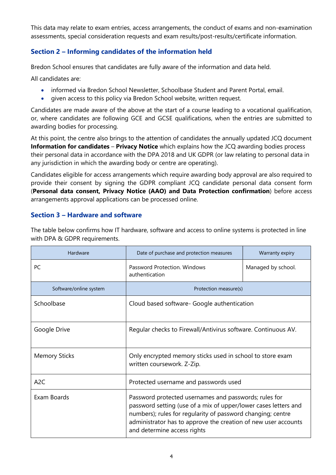This data may relate to exam entries, access arrangements, the conduct of exams and non-examination assessments, special consideration requests and exam results/post-results/certificate information.

# Section 2 – Informing candidates of the information held

Bredon School ensures that candidates are fully aware of the information and data held.

All candidates are:

- informed via Bredon School Newsletter, Schoolbase Student and Parent Portal, email.
- given access to this policy via Bredon School website, written request.

Candidates are made aware of the above at the start of a course leading to a vocational qualification, or, where candidates are following GCE and GCSE qualifications, when the entries are submitted to awarding bodies for processing.

At this point, the centre also brings to the attention of candidates the annually updated JCQ document Information for candidates – Privacy Notice which explains how the JCQ awarding bodies process their personal data in accordance with the DPA 2018 and UK GDPR (or law relating to personal data in any jurisdiction in which the awarding body or centre are operating).

Candidates eligible for access arrangements which require awarding body approval are also required to provide their consent by signing the GDPR compliant JCQ candidate personal data consent form (Personal data consent, Privacy Notice (AAO) and Data Protection confirmation) before access arrangements approval applications can be processed online.

## Section 3 – Hardware and software

The table below confirms how IT hardware, software and access to online systems is protected in line with DPA & GDPR requirements.

| Hardware               | Date of purchase and protection measures<br>Warranty expiry                                                                                                                                                                                                                              |                    |  |
|------------------------|------------------------------------------------------------------------------------------------------------------------------------------------------------------------------------------------------------------------------------------------------------------------------------------|--------------------|--|
| <b>PC</b>              | Password Protection. Windows<br>authentication                                                                                                                                                                                                                                           | Managed by school. |  |
| Software/online system | Protection measure(s)                                                                                                                                                                                                                                                                    |                    |  |
| Schoolbase             | Cloud based software- Google authentication                                                                                                                                                                                                                                              |                    |  |
| Google Drive           | Regular checks to Firewall/Antivirus software. Continuous AV.                                                                                                                                                                                                                            |                    |  |
| <b>Memory Sticks</b>   | Only encrypted memory sticks used in school to store exam<br>written coursework. Z-Zip.                                                                                                                                                                                                  |                    |  |
| A <sub>2</sub> C       | Protected username and passwords used                                                                                                                                                                                                                                                    |                    |  |
| Exam Boards            | Password protected usernames and passwords; rules for<br>password setting (use of a mix of upper/lower cases letters and<br>numbers); rules for regularity of password changing; centre<br>administrator has to approve the creation of new user accounts<br>and determine access rights |                    |  |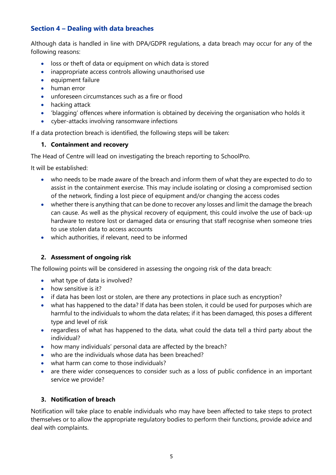# Section 4 – Dealing with data breaches

Although data is handled in line with DPA/GDPR regulations, a data breach may occur for any of the following reasons:

- loss or theft of data or equipment on which data is stored
- inappropriate access controls allowing unauthorised use
- equipment failure
- human error
- unforeseen circumstances such as a fire or flood
- hacking attack
- 'blagging' offences where information is obtained by deceiving the organisation who holds it
- cyber-attacks involving ransomware infections

If a data protection breach is identified, the following steps will be taken:

#### 1. Containment and recovery

The Head of Centre will lead on investigating the breach reporting to SchoolPro.

It will be established:

- who needs to be made aware of the breach and inform them of what they are expected to do to assist in the containment exercise. This may include isolating or closing a compromised section of the network, finding a lost piece of equipment and/or changing the access codes
- whether there is anything that can be done to recover any losses and limit the damage the breach can cause. As well as the physical recovery of equipment, this could involve the use of back-up hardware to restore lost or damaged data or ensuring that staff recognise when someone tries to use stolen data to access accounts
- which authorities, if relevant, need to be informed

#### 2. Assessment of ongoing risk

The following points will be considered in assessing the ongoing risk of the data breach:

- what type of data is involved?
- how sensitive is it?
- if data has been lost or stolen, are there any protections in place such as encryption?
- what has happened to the data? If data has been stolen, it could be used for purposes which are harmful to the individuals to whom the data relates; if it has been damaged, this poses a different type and level of risk
- regardless of what has happened to the data, what could the data tell a third party about the individual?
- how many individuals' personal data are affected by the breach?
- who are the individuals whose data has been breached?
- what harm can come to those individuals?
- are there wider consequences to consider such as a loss of public confidence in an important service we provide?

#### 3. Notification of breach

Notification will take place to enable individuals who may have been affected to take steps to protect themselves or to allow the appropriate regulatory bodies to perform their functions, provide advice and deal with complaints.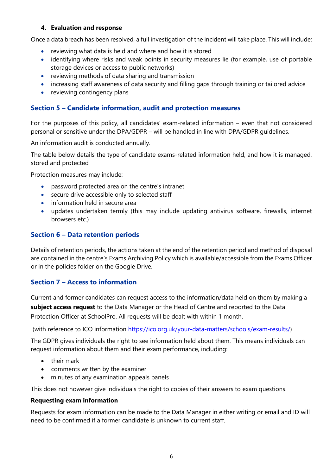#### 4. Evaluation and response

Once a data breach has been resolved, a full investigation of the incident will take place. This will include:

- reviewing what data is held and where and how it is stored
- identifying where risks and weak points in security measures lie (for example, use of portable storage devices or access to public networks)
- reviewing methods of data sharing and transmission
- increasing staff awareness of data security and filling gaps through training or tailored advice
- reviewing contingency plans

#### Section 5 – Candidate information, audit and protection measures

For the purposes of this policy, all candidates' exam-related information – even that not considered personal or sensitive under the DPA/GDPR – will be handled in line with DPA/GDPR guidelines.

An information audit is conducted annually.

The table below details the type of candidate exams-related information held, and how it is managed, stored and protected

Protection measures may include:

- password protected area on the centre's intranet
- secure drive accessible only to selected staff
- information held in secure area
- updates undertaken termly (this may include updating antivirus software, firewalls, internet browsers etc.)

#### Section 6 – Data retention periods

Details of retention periods, the actions taken at the end of the retention period and method of disposal are contained in the centre's Exams Archiving Policy which is available/accessible from the Exams Officer or in the policies folder on the Google Drive.

## Section 7 – Access to information

Current and former candidates can request access to the information/data held on them by making a subject access request to the Data Manager or the Head of Centre and reported to the Data Protection Officer at SchoolPro. All requests will be dealt with within 1 month.

(with reference to ICO information https://ico.org.uk/your-data-matters/schools/exam-results/)

The GDPR gives individuals the right to see information held about them. This means individuals can request information about them and their exam performance, including:

- their mark
- comments written by the examiner
- minutes of any examination appeals panels

This does not however give individuals the right to copies of their answers to exam questions.

#### Requesting exam information

Requests for exam information can be made to the Data Manager in either writing or email and ID will need to be confirmed if a former candidate is unknown to current staff.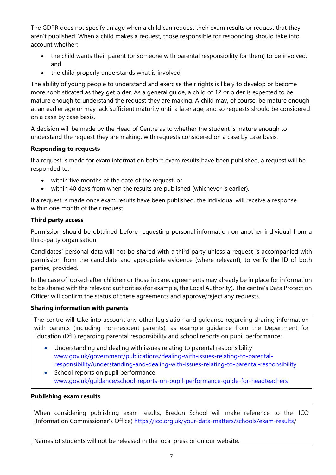The GDPR does not specify an age when a child can request their exam results or request that they aren't published. When a child makes a request, those responsible for responding should take into account whether:

- the child wants their parent (or someone with parental responsibility for them) to be involved; and
- the child properly understands what is involved.

The ability of young people to understand and exercise their rights is likely to develop or become more sophisticated as they get older. As a general guide, a child of 12 or older is expected to be mature enough to understand the request they are making. A child may, of course, be mature enough at an earlier age or may lack sufficient maturity until a later age, and so requests should be considered on a case by case basis.

A decision will be made by the Head of Centre as to whether the student is mature enough to understand the request they are making, with requests considered on a case by case basis.

#### Responding to requests

If a request is made for exam information before exam results have been published, a request will be responded to:

- within five months of the date of the request, or
- within 40 days from when the results are published (whichever is earlier).

If a request is made once exam results have been published, the individual will receive a response within one month of their request.

#### Third party access

Permission should be obtained before requesting personal information on another individual from a third-party organisation.

Candidates' personal data will not be shared with a third party unless a request is accompanied with permission from the candidate and appropriate evidence (where relevant), to verify the ID of both parties, provided.

In the case of looked-after children or those in care, agreements may already be in place for information to be shared with the relevant authorities (for example, the Local Authority). The centre's Data Protection Officer will confirm the status of these agreements and approve/reject any requests.

#### Sharing information with parents

The centre will take into account any other legislation and guidance regarding sharing information with parents (including non-resident parents), as example guidance from the Department for Education (DfE) regarding parental responsibility and school reports on pupil performance:

- Understanding and dealing with issues relating to parental responsibility www.gov.uk/government/publications/dealing-with-issues-relating-to-parentalresponsibility/understanding-and-dealing-with-issues-relating-to-parental-responsibility
- School reports on pupil performance www.gov.uk/guidance/school-reports-on-pupil-performance-guide-for-headteachers

#### Publishing exam results

When considering publishing exam results, Bredon School will make reference to the ICO (Information Commissioner's Office) https://ico.org.uk/your-data-matters/schools/exam-results/

Names of students will not be released in the local press or on our website.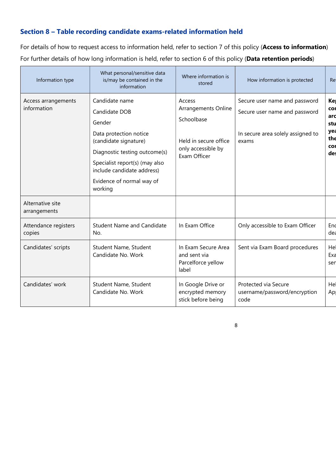# Section 8 – Table recording candidate exams-related information held

For details of how to request access to information held, refer to section 7 of this policy (Access to information) For further details of how long information is held, refer to section 6 of this policy (Data retention periods)

| Information type                   | What personal/sensitive data<br>is/may be contained in the<br>information                                                                                                                                                             | Where information is<br>stored                                                                             | How information is protected                                                                                 | Re                                                         |
|------------------------------------|---------------------------------------------------------------------------------------------------------------------------------------------------------------------------------------------------------------------------------------|------------------------------------------------------------------------------------------------------------|--------------------------------------------------------------------------------------------------------------|------------------------------------------------------------|
| Access arrangements<br>information | Candidate name<br>Candidate DOB<br>Gender<br>Data protection notice<br>(candidate signature)<br>Diagnostic testing outcome(s)<br>Specialist report(s) (may also<br>include candidate address)<br>Evidence of normal way of<br>working | Access<br>Arrangements Online<br>Schoolbase<br>Held in secure office<br>only accessible by<br>Exam Officer | Secure user name and password<br>Secure user name and password<br>In secure area solely assigned to<br>exams | Ke<br>COI<br>ard<br>stu<br>yea<br>the<br><b>COI</b><br>des |
| Alternative site<br>arrangements   |                                                                                                                                                                                                                                       |                                                                                                            |                                                                                                              |                                                            |
| Attendance registers<br>copies     | <b>Student Name and Candidate</b><br>No.                                                                                                                                                                                              | In Exam Office                                                                                             | Only accessible to Exam Officer                                                                              | End<br>dea                                                 |
| Candidates' scripts                | Student Name, Student<br>Candidate No. Work                                                                                                                                                                                           | In Exam Secure Area<br>and sent via<br>Parcelforce yellow<br>label                                         | Sent via Exam Board procedures                                                                               | Hel<br>Exa<br>ser                                          |
| Candidates' work                   | Student Name, Student<br>Candidate No. Work                                                                                                                                                                                           | In Google Drive or<br>encrypted memory<br>stick before being                                               | Protected via Secure<br>username/password/encryption<br>code                                                 | Hel<br>Ap                                                  |

8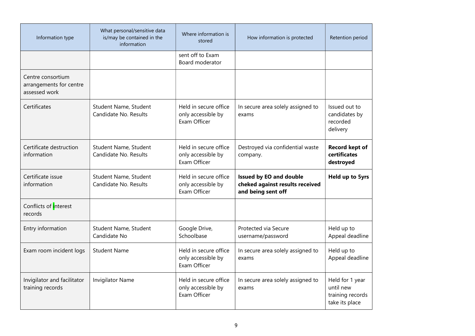| Information type                                              | What personal/sensitive data<br>is/may be contained in the<br>information | Where information is<br>stored                              | How information is protected                                                            | Retention period                                                   |
|---------------------------------------------------------------|---------------------------------------------------------------------------|-------------------------------------------------------------|-----------------------------------------------------------------------------------------|--------------------------------------------------------------------|
|                                                               |                                                                           | sent off to Exam<br>Board moderator                         |                                                                                         |                                                                    |
| Centre consortium<br>arrangements for centre<br>assessed work |                                                                           |                                                             |                                                                                         |                                                                    |
| Certificates                                                  | Student Name, Student<br>Candidate No. Results                            | Held in secure office<br>only accessible by<br>Exam Officer | In secure area solely assigned to<br>exams                                              | Issued out to<br>candidates by<br>recorded<br>delivery             |
| Certificate destruction<br>information                        | Student Name, Student<br>Candidate No. Results                            | Held in secure office<br>only accessible by<br>Exam Officer | Destroyed via confidential waste<br>company.                                            | <b>Record kept of</b><br>certificates<br>destroyed                 |
| Certificate issue<br>information                              | Student Name, Student<br>Candidate No. Results                            | Held in secure office<br>only accessible by<br>Exam Officer | <b>Issued by EO and double</b><br>cheked against results received<br>and being sent off | Held up to 5yrs                                                    |
| Conflicts of interest<br>records                              |                                                                           |                                                             |                                                                                         |                                                                    |
| Entry information                                             | Student Name, Student<br>Candidate No                                     | Google Drive,<br>Schoolbase                                 | Protected via Secure<br>username/password                                               | Held up to<br>Appeal deadline                                      |
| Exam room incident logs                                       | <b>Student Name</b>                                                       | Held in secure office<br>only accessible by<br>Exam Officer | In secure area solely assigned to<br>exams                                              | Held up to<br>Appeal deadline                                      |
| Invigilator and facilitator<br>training records               | <b>Invigilator Name</b>                                                   | Held in secure office<br>only accessible by<br>Exam Officer | In secure area solely assigned to<br>exams                                              | Held for 1 year<br>until new<br>training records<br>take its place |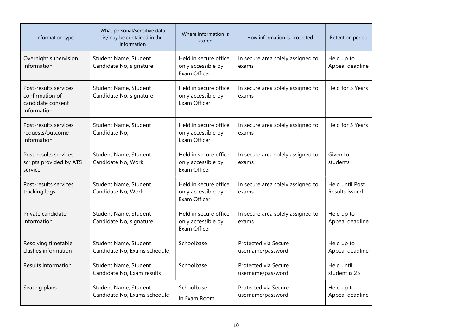| Information type                                                              | What personal/sensitive data<br>is/may be contained in the<br>information | Where information is<br>stored                              | How information is protected               | Retention period                  |
|-------------------------------------------------------------------------------|---------------------------------------------------------------------------|-------------------------------------------------------------|--------------------------------------------|-----------------------------------|
| Overnight supervision<br>information                                          | Student Name, Student<br>Candidate No, signature                          | Held in secure office<br>only accessible by<br>Exam Officer | In secure area solely assigned to<br>exams | Held up to<br>Appeal deadline     |
| Post-results services:<br>confirmation of<br>candidate consent<br>information | Student Name, Student<br>Candidate No, signature                          | Held in secure office<br>only accessible by<br>Exam Officer | In secure area solely assigned to<br>exams | Held for 5 Years                  |
| Post-results services:<br>requests/outcome<br>information                     | Student Name, Student<br>Candidate No,                                    | Held in secure office<br>only accessible by<br>Exam Officer | In secure area solely assigned to<br>exams | Held for 5 Years                  |
| Post-results services:<br>scripts provided by ATS<br>service                  | Student Name, Student<br>Candidate No, Work                               | Held in secure office<br>only accessible by<br>Exam Officer | In secure area solely assigned to<br>exams | Given to<br>students              |
| Post-results services:<br>tracking logs                                       | Student Name, Student<br>Candidate No, Work                               | Held in secure office<br>only accessible by<br>Exam Officer | In secure area solely assigned to<br>exams | Held until Post<br>Results issued |
| Private candidate<br>information                                              | Student Name, Student<br>Candidate No, signature                          | Held in secure office<br>only accessible by<br>Exam Officer | In secure area solely assigned to<br>exams | Held up to<br>Appeal deadline     |
| Resolving timetable<br>clashes information                                    | Student Name, Student<br>Candidate No, Exams schedule                     | Schoolbase                                                  | Protected via Secure<br>username/password  | Held up to<br>Appeal deadline     |
| Results information                                                           | Student Name, Student<br>Candidate No, Exam results                       | Schoolbase                                                  | Protected via Secure<br>username/password  | Held until<br>student is 25       |
| Seating plans                                                                 | Student Name, Student<br>Candidate No, Exams schedule                     | Schoolbase<br>In Exam Room                                  | Protected via Secure<br>username/password  | Held up to<br>Appeal deadline     |